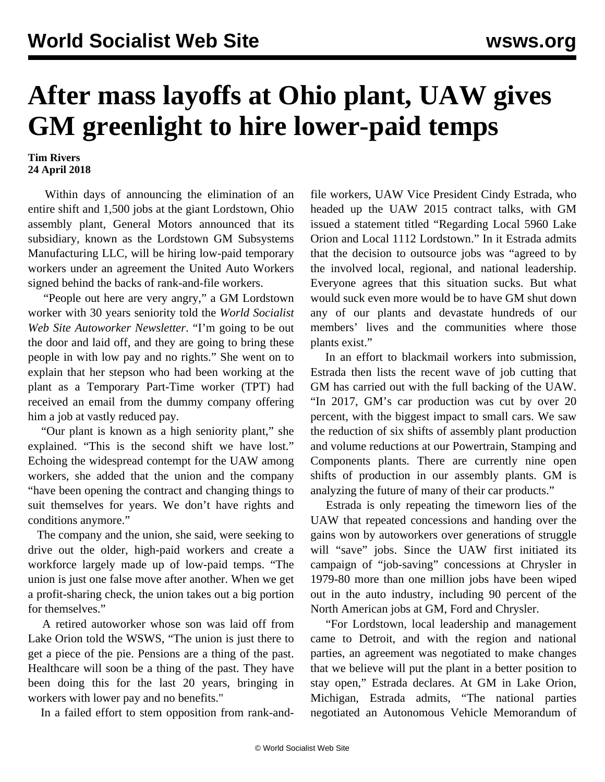## **After mass layoffs at Ohio plant, UAW gives GM greenlight to hire lower-paid temps**

## **Tim Rivers 24 April 2018**

 Within days of announcing the elimination of an entire shift and 1,500 jobs at the giant Lordstown, Ohio assembly plant, General Motors announced that its subsidiary, known as the Lordstown GM Subsystems Manufacturing LLC, will be hiring low-paid temporary workers under an agreement the United Auto Workers signed behind the backs of rank-and-file workers.

 "People out here are very angry," a GM Lordstown worker with 30 years seniority told the *World Socialist Web Site Autoworker Newsletter*. "I'm going to be out the door and laid off, and they are going to bring these people in with low pay and no rights." She went on to explain that her stepson who had been working at the plant as a Temporary Part-Time worker (TPT) had received an email from the dummy company offering him a job at vastly reduced pay.

 "Our plant is known as a high seniority plant," she explained. "This is the second shift we have lost." Echoing the widespread contempt for the UAW among workers, she added that the union and the company "have been opening the contract and changing things to suit themselves for years. We don't have rights and conditions anymore."

 The company and the union, she said, were seeking to drive out the older, high-paid workers and create a workforce largely made up of low-paid temps. "The union is just one false move after another. When we get a profit-sharing check, the union takes out a big portion for themselves."

 A retired autoworker whose son was laid off from Lake Orion told the WSWS, "The union is just there to get a piece of the pie. Pensions are a thing of the past. Healthcare will soon be a thing of the past. They have been doing this for the last 20 years, bringing in workers with lower pay and no benefits."

In a failed effort to stem opposition from rank-and-

file workers, UAW Vice President Cindy Estrada, who headed up the UAW 2015 contract talks, with GM issued a statement titled "Regarding Local 5960 Lake Orion and Local 1112 Lordstown." In it Estrada admits that the decision to outsource jobs was "agreed to by the involved local, regional, and national leadership. Everyone agrees that this situation sucks. But what would suck even more would be to have GM shut down any of our plants and devastate hundreds of our members' lives and the communities where those plants exist."

 In an effort to blackmail workers into submission, Estrada then lists the recent wave of job cutting that GM has carried out with the full backing of the UAW. "In 2017, GM's car production was cut by over 20 percent, with the biggest impact to small cars. We saw the reduction of six shifts of assembly plant production and volume reductions at our Powertrain, Stamping and Components plants. There are currently nine open shifts of production in our assembly plants. GM is analyzing the future of many of their car products."

 Estrada is only repeating the timeworn lies of the UAW that repeated concessions and handing over the gains won by autoworkers over generations of struggle will "save" jobs. Since the UAW first initiated its campaign of "job-saving" concessions at Chrysler in 1979-80 more than one million jobs have been wiped out in the auto industry, including 90 percent of the North American jobs at GM, Ford and Chrysler.

 "For Lordstown, local leadership and management came to Detroit, and with the region and national parties, an agreement was negotiated to make changes that we believe will put the plant in a better position to stay open," Estrada declares. At GM in Lake Orion, Michigan, Estrada admits, "The national parties negotiated an Autonomous Vehicle Memorandum of